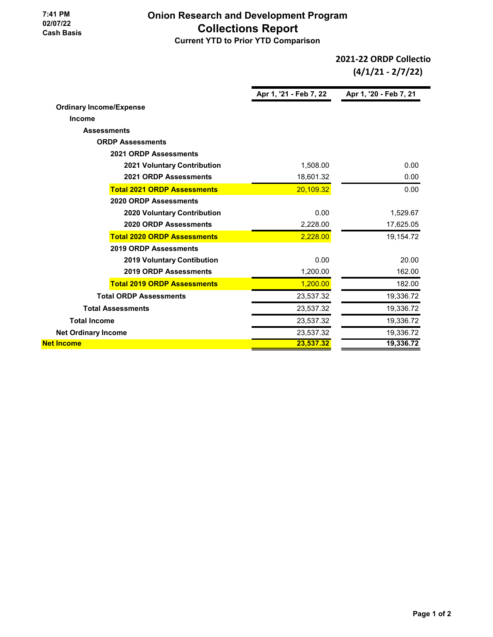**7:41 PM 02/07/22 Cash Basis**

## **Onion Research and Development Program Collections Report Current YTD to Prior YTD Comparison**

**Apr 1, '21 - Feb 7, 22 Apr 1, '20 - Feb 7, 21 Ordinary Income/Expense Income Assessments ORDP Assessments 2021 ORDP Assessments 2021 Voluntary Contribution** 1,508.00 0.00 **2021 ORDP Assessments** 18,601.32 0.00 **Total 2021 ORDP Assessments** 20,109.32 **0.00** 0.00 **2020 ORDP Assessments 2020 Voluntary Contribution 1,529.67 1,529.67 2020 ORDP Assessments** 2,228.00 17,625.05 **Total 2020 ORDP Assessments** 2,228.00 **19,154.72 2019 ORDP Assessments 2019 Voluntary Contibution 120.00 20.00 20.00 20.00 2019 ORDP Assessments** 1,200.00 162.00 **Total 2019 ORDP Assessments** 1,200.00 182.00 **Total ORDP Assessments** 23,537.32 19,336.72 **Total Assessments** 23,537.32 19,336.72 **Total Income** 23,537.32 19,336.72 **Net Ordinary Income 23,537.32 19,336.72** 19,336.72 **Net Income 23,537.32 19,336.72 2021-22 ORDP Collectio (4/1/21 - 2/7/22)**